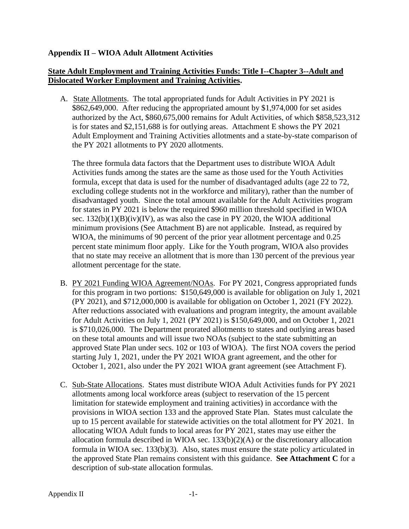## **Appendix II – WIOA Adult Allotment Activities**

## **State Adult Employment and Training Activities Funds: Title I--Chapter 3--Adult and Dislocated Worker Employment and Training Activities.**

A. State Allotments. The total appropriated funds for Adult Activities in PY 2021 is \$862,649,000. After reducing the appropriated amount by \$1,974,000 for set asides authorized by the Act, \$860,675,000 remains for Adult Activities, of which \$858,523,312 is for states and \$2,151,688 is for outlying areas. Attachment E shows the PY 2021 Adult Employment and Training Activities allotments and a state-by-state comparison of the PY 2021 allotments to PY 2020 allotments.

The three formula data factors that the Department uses to distribute WIOA Adult Activities funds among the states are the same as those used for the Youth Activities formula, except that data is used for the number of disadvantaged adults (age 22 to 72, excluding college students not in the workforce and military), rather than the number of disadvantaged youth. Since the total amount available for the Adult Activities program for states in PY 2021 is below the required \$960 million threshold specified in WIOA sec.  $132(b)(1)(B)(iv)(IV)$ , as was also the case in PY 2020, the WIOA additional minimum provisions (See Attachment B) are not applicable. Instead, as required by WIOA, the minimums of 90 percent of the prior year allotment percentage and 0.25 percent state minimum floor apply. Like for the Youth program, WIOA also provides that no state may receive an allotment that is more than 130 percent of the previous year allotment percentage for the state.

- B. PY 2021 Funding WIOA Agreement/NOAs. For PY 2021, Congress appropriated funds for this program in two portions: \$150,649,000 is available for obligation on July 1, 2021 (PY 2021), and \$712,000,000 is available for obligation on October 1, 2021 (FY 2022). After reductions associated with evaluations and program integrity, the amount available for Adult Activities on July 1, 2021 (PY 2021) is \$150,649,000, and on October 1, 2021 is \$710,026,000. The Department prorated allotments to states and outlying areas based on these total amounts and will issue two NOAs (subject to the state submitting an approved State Plan under secs. 102 or 103 of WIOA). The first NOA covers the period starting July 1, 2021, under the PY 2021 WIOA grant agreement, and the other for October 1, 2021, also under the PY 2021 WIOA grant agreement (see Attachment F).
- C. Sub-State Allocations. States must distribute WIOA Adult Activities funds for PY 2021 allotments among local workforce areas (subject to reservation of the 15 percent limitation for statewide employment and training activities) in accordance with the provisions in WIOA section 133 and the approved State Plan. States must calculate the up to 15 percent available for statewide activities on the total allotment for PY 2021. In allocating WIOA Adult funds to local areas for PY 2021, states may use either the allocation formula described in WIOA sec. 133(b)(2)(A) or the discretionary allocation formula in WIOA sec. 133(b)(3). Also, states must ensure the state policy articulated in the approved State Plan remains consistent with this guidance. **See Attachment C** for a description of sub-state allocation formulas.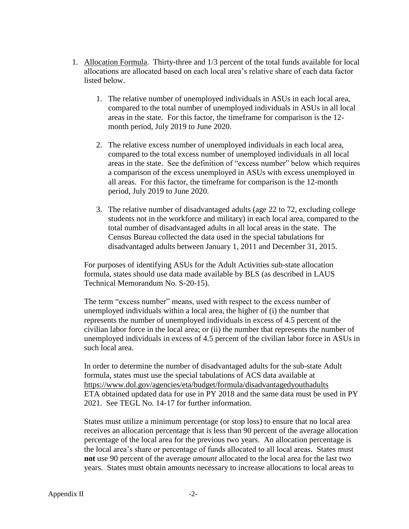- 1. Allocation Formula. Thirty-three and 1/3 percent of the total funds available for local allocations are allocated based on each local area's relative share of each data factor listed below.
	- 1. The relative number of unemployed individuals in ASUs in each local area, compared to the total number of unemployed individuals in ASUs in all local areas in the state. For this factor, the timeframe for comparison is the 12 month period, July 2019 to June 2020.
	- 2. The relative excess number of unemployed individuals in each local area, compared to the total excess number of unemployed individuals in all local areas in the state. See the definition of "excess number" below which requires a comparison of the excess unemployed in ASUs with excess unemployed in all areas. For this factor, the timeframe for comparison is the 12-month period, July 2019 to June 2020.
	- 3. The relative number of disadvantaged adults (age 22 to 72, excluding college students not in the workforce and military) in each local area, compared to the total number of disadvantaged adults in all local areas in the state. The Census Bureau collected the data used in the special tabulations for disadvantaged adults between January 1, 2011 and December 31, 2015.

For purposes of identifying ASUs for the Adult Activities sub-state allocation formula, states should use data made available by BLS (as described in LAUS Technical Memorandum No. S-20-15).

The term "excess number" means, used with respect to the excess number of unemployed individuals within a local area, the higher of (i) the number that represents the number of unemployed individuals in excess of 4.5 percent of the civilian labor force in the local area; or (ii) the number that represents the number of unemployed individuals in excess of 4.5 percent of the civilian labor force in ASUs in such local area.

In order to determine the number of disadvantaged adults for the sub-state Adult formula, states must use the special tabulations of ACS data available at <https://www.dol.gov/agencies/eta/budget/formula/disadvantagedyouthadults> ETA obtained updated data for use in PY 2018 and the same data must be used in PY 2021. See TEGL No. 14-17 for further information.

States must utilize a minimum percentage (or stop loss) to ensure that no local area receives an allocation percentage that is less than 90 percent of the average allocation percentage of the local area for the previous two years. An allocation percentage is the local area's share or percentage of funds allocated to all local areas. States must **not** use 90 percent of the average *amount* allocated to the local area for the last two years. States must obtain amounts necessary to increase allocations to local areas to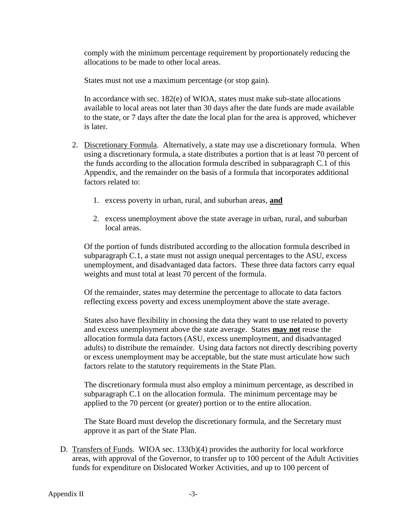comply with the minimum percentage requirement by proportionately reducing the allocations to be made to other local areas.

States must not use a maximum percentage (or stop gain).

In accordance with sec. 182(e) of WIOA, states must make sub-state allocations available to local areas not later than 30 days after the date funds are made available to the state, or 7 days after the date the local plan for the area is approved, whichever is later.

- 2. Discretionary Formula. Alternatively, a state may use a discretionary formula. When using a discretionary formula, a state distributes a portion that is at least 70 percent of the funds according to the allocation formula described in subparagraph C.1 of this Appendix, and the remainder on the basis of a formula that incorporates additional factors related to:
	- 1. excess poverty in urban, rural, and suburban areas, **and**
	- 2. excess unemployment above the state average in urban, rural, and suburban local areas.

Of the portion of funds distributed according to the allocation formula described in subparagraph C.1, a state must not assign unequal percentages to the ASU, excess unemployment, and disadvantaged data factors. These three data factors carry equal weights and must total at least 70 percent of the formula.

Of the remainder, states may determine the percentage to allocate to data factors reflecting excess poverty and excess unemployment above the state average.

States also have flexibility in choosing the data they want to use related to poverty and excess unemployment above the state average. States **may not** reuse the allocation formula data factors (ASU, excess unemployment, and disadvantaged adults) to distribute the remainder. Using data factors not directly describing poverty or excess unemployment may be acceptable, but the state must articulate how such factors relate to the statutory requirements in the State Plan.

The discretionary formula must also employ a minimum percentage, as described in subparagraph C.1 on the allocation formula. The minimum percentage may be applied to the 70 percent (or greater) portion or to the entire allocation.

The State Board must develop the discretionary formula, and the Secretary must approve it as part of the State Plan.

D. Transfers of Funds. WIOA sec. 133(b)(4) provides the authority for local workforce areas, with approval of the Governor, to transfer up to 100 percent of the Adult Activities funds for expenditure on Dislocated Worker Activities, and up to 100 percent of